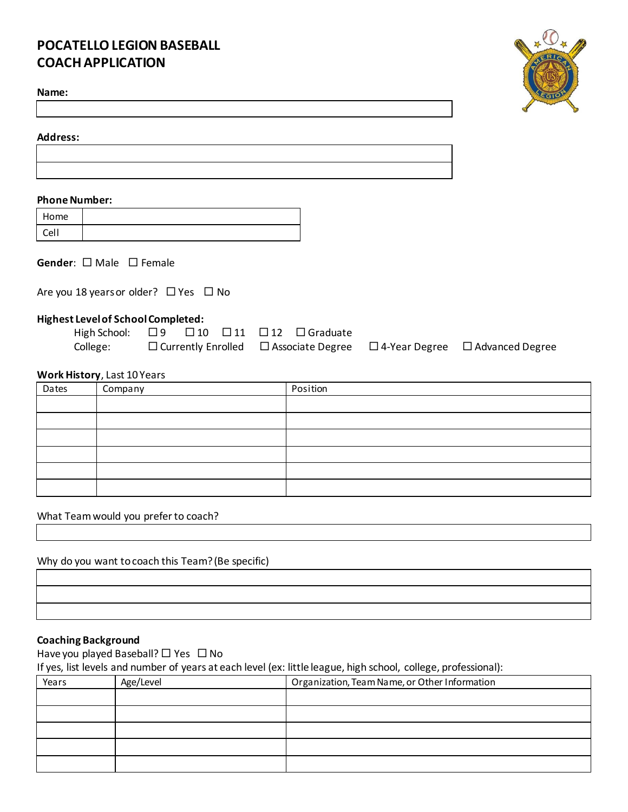# **POCATELLO LEGION BASEBALL COACH APPLICATION**

#### **Name:**

**Address:** 

### **Phone Number:**

| Home  |  |
|-------|--|
| ا ام` |  |

|  |  | <b>Gender:</b> $\Box$ Male $\Box$ Female |
|--|--|------------------------------------------|
|--|--|------------------------------------------|

| Are you 18 years or older? $\Box$ Yes $\Box$ No |  |  |
|-------------------------------------------------|--|--|
|-------------------------------------------------|--|--|

### **Highest Level of School Completed:**

|          |  |  | High School: □ 9 □ 10 □ 11 □ 12 □ Graduate |                                                                                               |
|----------|--|--|--------------------------------------------|-----------------------------------------------------------------------------------------------|
| College: |  |  |                                            | $\Box$ Currently Enrolled $\Box$ Associate Degree $\Box$ 4-Year Degree $\Box$ Advanced Degree |

### **Work History**, Last 10 Years

| Dates | Company | Position |
|-------|---------|----------|
|       |         |          |
|       |         |          |
|       |         |          |
|       |         |          |
|       |         |          |
|       |         |          |

What Team would you prefer to coach?

Why do you want to coach this Team? (Be specific)

## **Coaching Background**

Have you played Baseball?  $\Box$  Yes  $\Box$  No If yes, list levels and number of years at each level (ex: little league, high school, college, professional):

| Years | Age/Level | Organization, Team Name, or Other Information |
|-------|-----------|-----------------------------------------------|
|       |           |                                               |
|       |           |                                               |
|       |           |                                               |
|       |           |                                               |
|       |           |                                               |

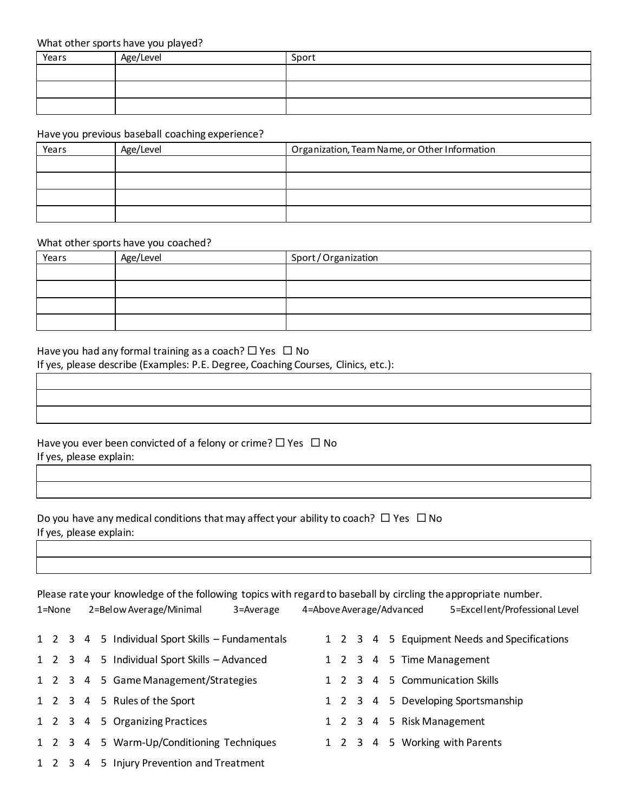### What other sports have you played?

| Years | Age/Level | Sport |
|-------|-----------|-------|
|       |           |       |
|       |           |       |
|       |           |       |

### Have you previous baseball coaching experience?

| Years | Age/Level | Organization, Team Name, or Other Information |
|-------|-----------|-----------------------------------------------|
|       |           |                                               |
|       |           |                                               |
|       |           |                                               |
|       |           |                                               |

#### What other sports have you coached?

| Years | Age/Level | Sport/Organization |
|-------|-----------|--------------------|
|       |           |                    |
|       |           |                    |
|       |           |                    |
|       |           |                    |

Have you had any formal training as a coach?  $\Box$  Yes  $\Box$  No If yes, please describe (Examples: P.E. Degree, Coaching Courses, Clinics, etc.):

Have you ever been convicted of a felony or crime?  $\Box$  Yes  $\Box$  No If yes, please explain:

Do you have any medical conditions that may affect your ability to coach?  $\Box$  Yes  $\Box$  No If yes, please explain:

Please rate your knowledge of the following topics with regard to baseball by circling the appropriate number. 1=None 2=Below Average/Minimal 3=Average 4=Above Average/Advanced 5=Excellent/Professional Level 1 2 3 4 5 Individual Sport Skills – Fundamentals 1 2 3 4 5 Individual Sport Skills – Advanced 1 2 3 4 5 Game Management/Strategies 1 2 3 4 5 Rules of the Sport 1 2 3 4 5 Organizing Practices 1 2 3 4 5 Warm-Up/Conditioning Techniques 1 2 3 4 5 Injury Prevention and Treatment 1 2 3 4 5 Equipment Needs and Specifications 1 2 3 4 5 Time Management 1 2 3 4 5 Communication Skills 1 2 3 4 5 Developing Sportsmanship 1 2 3 4 5 Risk Management 1 2 3 4 5 Working with Parents